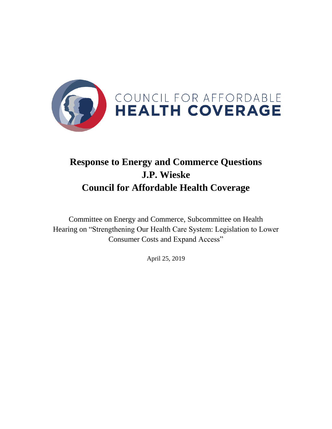

## **Response to Energy and Commerce Questions J.P. Wieske Council for Affordable Health Coverage**

Committee on Energy and Commerce, Subcommittee on Health Hearing on "Strengthening Our Health Care System: Legislation to Lower Consumer Costs and Expand Access"

April 25, 2019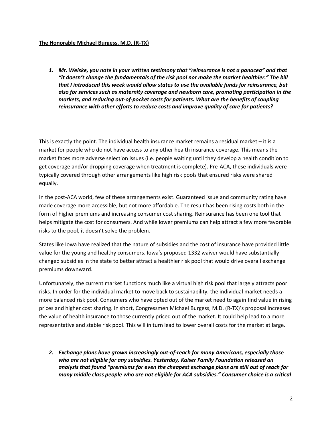## **The Honorable Michael Burgess, M.D. (R-TX)**

*1. Mr. Weiske, you note in your written testimony that "reinsurance is not a panacea" and that "it doesn't change the fundamentals of the risk pool nor make the market healthier." The bill that I introduced this week would allow states to use the available funds for reinsurance, but also for services such as maternity coverage and newborn care, promoting participation in the markets, and reducing out-of-pocket costs for patients. What are the benefits of coupling reinsurance with other efforts to reduce costs and improve quality of care for patients?*

This is exactly the point. The individual health insurance market remains a residual market – it is a market for people who do not have access to any other health insurance coverage. This means the market faces more adverse selection issues (i.e. people waiting until they develop a health condition to get coverage and/or dropping coverage when treatment is complete). Pre-ACA, these individuals were typically covered through other arrangements like high risk pools that ensured risks were shared equally.

In the post-ACA world, few of these arrangements exist. Guaranteed issue and community rating have made coverage more accessible, but not more affordable. The result has been rising costs both in the form of higher premiums and increasing consumer cost sharing. Reinsurance has been one tool that helps mitigate the cost for consumers. And while lower premiums can help attract a few more favorable risks to the pool, it doesn't solve the problem.

States like Iowa have realized that the nature of subsidies and the cost of insurance have provided little value for the young and healthy consumers. Iowa's proposed 1332 waiver would have substantially changed subsidies in the state to better attract a healthier risk pool that would drive overall exchange premiums downward.

Unfortunately, the current market functions much like a virtual high risk pool that largely attracts poor risks. In order for the individual market to move back to sustainability, the individual market needs a more balanced risk pool. Consumers who have opted out of the market need to again find value in rising prices and higher cost sharing. In short, Congressmen Michael Burgess, M.D. (R-TX)'s proposal increases the value of health insurance to those currently priced out of the market. It could help lead to a more representative and stable risk pool. This will in turn lead to lower overall costs for the market at large.

*2. Exchange plans have grown increasingly out-of-reach for many Americans, especially those who are not eligible for any subsidies. Yesterday, Kaiser Family Foundation released an analysis that found "premiums for even the cheapest exchange plans are still out of reach for many middle class people who are not eligible for ACA subsidies." Consumer choice is a critical*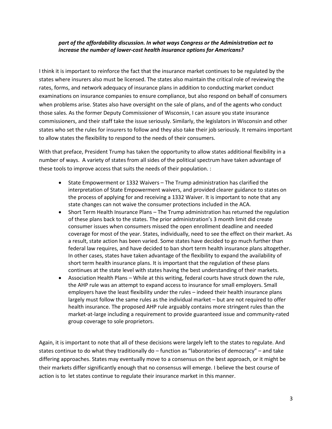## *part of the affordability discussion. In what ways Congress or the Administration act to increase the number of lower-cost health insurance options for Americans?*

I think it is important to reinforce the fact that the insurance market continues to be regulated by the states where insurers also must be licensed. The states also maintain the critical role of reviewing the rates, forms, and network adequacy of insurance plans in addition to conducting market conduct examinations on insurance companies to ensure compliance, but also respond on behalf of consumers when problems arise. States also have oversight on the sale of plans, and of the agents who conduct those sales. As the former Deputy Commissioner of Wisconsin, I can assure you state insurance commissioners, and their staff take the issue seriously. Similarly, the legislators in Wisconsin and other states who set the rules for insurers to follow and they also take their job seriously. It remains important to allow states the flexibility to respond to the needs of their consumers.

With that preface, President Trump has taken the opportunity to allow states additional flexibility in a number of ways. A variety of states from all sides of the political spectrum have taken advantage of these tools to improve access that suits the needs of their population. :

- State Empowerment or 1332 Waivers The Trump administration has clarified the interpretation of State Empowerment waivers, and provided clearer guidance to states on the process of applying for and receiving a 1332 Waiver. It is important to note that any state changes can not waive the consumer protections included in the ACA.
- Short Term Health Insurance Plans The Trump administration has returned the regulation of these plans back to the states. The prior administration's 3 month limit did create consumer issues when consumers missed the open enrollment deadline and needed coverage for most of the year. States, individually, need to see the effect on their market. As a result, state action has been varied. Some states have decided to go much further than federal law requires, and have decided to ban short term health insurance plans altogether. In other cases, states have taken advantage of the flexibility to expand the availability of short term health insurance plans. It is important that the regulation of these plans continues at the state level with states having the best understanding of their markets.
- Association Health Plans While at this writing, federal courts have struck down the rule, the AHP rule was an attempt to expand access to insurance for small employers. Small employers have the least flexibility under the rules – indeed their health insurance plans largely must follow the same rules as the individual market – but are not required to offer health insurance. The proposed AHP rule arguably contains more stringent rules than the market-at-large including a requirement to provide guaranteed issue and community-rated group coverage to sole proprietors.

Again, it is important to note that all of these decisions were largely left to the states to regulate. And states continue to do what they traditionally do – function as "laboratories of democracy" – and take differing approaches. States may eventually move to a consensus on the best approach, or it might be their markets differ significantly enough that no consensus will emerge. I believe the best course of action is to let states continue to regulate their insurance market in this manner.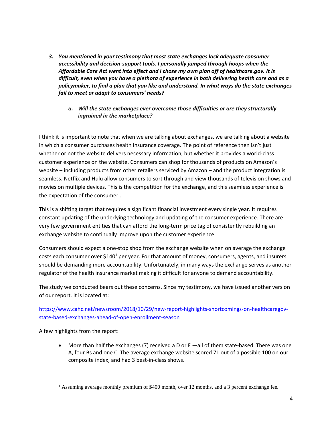*3. You mentioned in your testimony that most state exchanges lack adequate consumer accessibility and decision-support tools. I personally jumped through hoops when the Affordable Care Act went into effect and I chose my own plan off of healthcare.gov. It is difficult, even when you have a plethora of experience in both delivering health care and as a policymaker, to find a plan that you like and understand. In what ways do the state exchanges fail to meet or adapt to consumers' needs?*

## *a. Will the state exchanges ever overcome those difficulties or are they structurally ingrained in the marketplace?*

I think it is important to note that when we are talking about exchanges, we are talking about a website in which a consumer purchases health insurance coverage. The point of reference then isn't just whether or not the website delivers necessary information, but whether it provides a world-class customer experience on the website. Consumers can shop for thousands of products on Amazon's website – including products from other retailers serviced by Amazon – and the product integration is seamless. Netflix and Hulu allow consumers to sort through and view thousands of television shows and movies on multiple devices. This is the competition for the exchange, and this seamless experience is the expectation of the consumer..

This is a shifting target that requires a significant financial investment every single year. It requires constant updating of the underlying technology and updating of the consumer experience. There are very few government entities that can afford the long-term price tag of consistently rebuilding an exchange website to continually improve upon the customer experience.

Consumers should expect a one-stop shop from the exchange website when on average the exchange costs each consumer over \$140<sup>1</sup> per year. For that amount of money, consumers, agents, and insurers should be demanding more accountability. Unfortunately, in many ways the exchange serves as another regulator of the health insurance market making it difficult for anyone to demand accountability.

The study we conducted bears out these concerns. Since my testimony, we have issued another version of our report. It is located at:

[https://www.cahc.net/newsroom/2018/10/29/new-report-highlights-shortcomings-on-healthcaregov](https://www.cahc.net/newsroom/2018/10/29/new-report-highlights-shortcomings-on-healthcaregov-state-based-exchanges-ahead-of-open-enrollment-season)[state-based-exchanges-ahead-of-open-enrollment-season](https://www.cahc.net/newsroom/2018/10/29/new-report-highlights-shortcomings-on-healthcaregov-state-based-exchanges-ahead-of-open-enrollment-season)

A few highlights from the report:

 $\overline{\phantom{a}}$ 

• More than half the exchanges (7) received a D or F —all of them state-based. There was one A, four Bs and one C. The average exchange website scored 71 out of a possible 100 on our composite index, and had 3 best-in-class shows.

<sup>&</sup>lt;sup>1</sup> Assuming average monthly premium of \$400 month, over 12 months, and a 3 percent exchange fee.